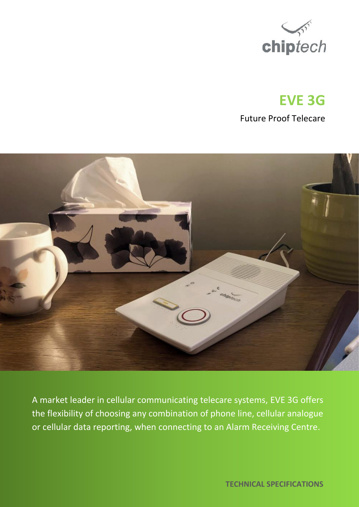

# **EVE 3G**

Future Proof Telecare



A market leader in cellular communicating telecare systems, EVE 3G offers the flexibility of choosing any combination of phone line, cellular analogue or cellular data reporting, when connecting to an Alarm Receiving Centre.

 **TECHNICAL SPECIFICATIONS**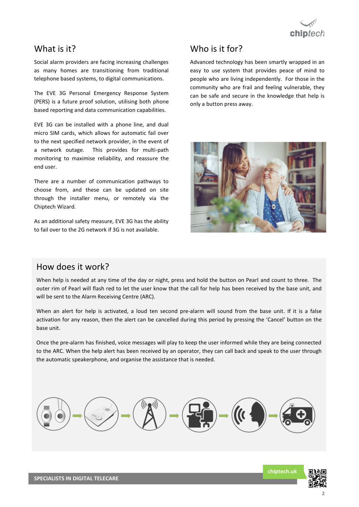

### What is it?

Social alarm providers are facing increasing challenges as many homes are transitioning from traditional telephone based systems, to digital communications.

The EVE 3G Personal Emergency Response System (PERS) is a future proof solution, utilising both phone based reporting and data communication capabilities.

EVE 3G can be installed with a phone line, and dual micro SIM cards, which allows for automatic fail over to the next specified network provider, in the event of a network outage. This provides for multi-path monitoring to maximise reliability, and reassure the end user.

There are a number of communication pathways to choose from, and these can be updated on site through the installer menu, or remotely via the Chiptech Wizard.

As an additional safety measure, EVE 3G has the ability to fail over to the 2G network if 3G is not available.

# Who is it for?

Advanced technology has been smartly wrapped in an easy to use system that provides peace of mind to people who are living independently. For those in the community who are frail and feeling vulnerable, they can be safe and secure in the knowledge that help is only a button press away.



### How does it work?

When help is needed at any time of the day or night, press and hold the button on Pearl and count to three. The outer rim of Pearl will flash red to let the user know that the call for help has been received by the base unit, and will be sent to the Alarm Receiving Centre (ARC).

When an alert for help is activated, a loud ten second pre-alarm will sound from the base unit. If it is a false activation for any reason, then the alert can be cancelled during this period by pressing the 'Cancel' button on the base unit.

Once the pre-alarm has finished, voice messages will play to keep the user informed while they are being connected to the ARC. When the help alert has been received by an operator, they can call back and speak to the user through the automatic speakerphone, and organise the assistance that is needed.



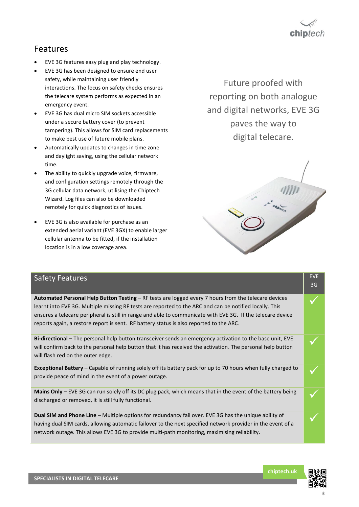# chin $tech$

# Features

- EVE 3G features easy plug and play technology.
- EVE 3G has been designed to ensure end user safety, while maintaining user friendly interactions. The focus on safety checks ensures the telecare system performs as expected in an emergency event.
- EVE 3G has dual micro SIM sockets accessible under a secure battery cover (to prevent tampering). This allows for SIM card replacements to make best use of future mobile plans.
- Automatically updates to changes in time zone and daylight saving, using the cellular network time.
- The ability to quickly upgrade voice, firmware, and configuration settings remotely through the 3G cellular data network, utilising the Chiptech Wizard. Log files can also be downloaded remotely for quick diagnostics of issues.
- EVE 3G is also available for purchase as an extended aerial variant (EVE 3GX) to enable larger cellular antenna to be fitted, if the installation location is in a low coverage area.

Future proofed with reporting on both analogue and digital networks, EVE 3G paves the way to digital telecare.



| <b>Safety Features</b>                                                                                                                                                                                                                                                                                                                                                                                                           | <b>EVE</b><br>3G |
|----------------------------------------------------------------------------------------------------------------------------------------------------------------------------------------------------------------------------------------------------------------------------------------------------------------------------------------------------------------------------------------------------------------------------------|------------------|
| <b>Automated Personal Help Button Testing – RF tests are logged every 7 hours from the telecare devices</b><br>learnt into EVE 3G. Multiple missing RF tests are reported to the ARC and can be notified locally. This<br>ensures a telecare peripheral is still in range and able to communicate with EVE 3G. If the telecare device<br>reports again, a restore report is sent. RF battery status is also reported to the ARC. |                  |
| Bi-directional - The personal help button transceiver sends an emergency activation to the base unit, EVE<br>will confirm back to the personal help button that it has received the activation. The personal help button<br>will flash red on the outer edge.                                                                                                                                                                    |                  |
| Exceptional Battery - Capable of running solely off its battery pack for up to 70 hours when fully charged to<br>provide peace of mind in the event of a power outage.                                                                                                                                                                                                                                                           |                  |
| Mains Only - EVE 3G can run solely off its DC plug pack, which means that in the event of the battery being<br>discharged or removed, it is still fully functional.                                                                                                                                                                                                                                                              |                  |
| Dual SIM and Phone Line - Multiple options for redundancy fail over. EVE 3G has the unique ability of<br>having dual SIM cards, allowing automatic failover to the next specified network provider in the event of a<br>network outage. This allows EVE 3G to provide multi-path monitoring, maximising reliability.                                                                                                             |                  |

**chiptech.uk**

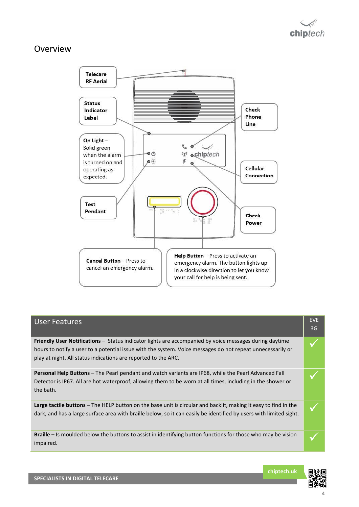## Overview



# User Features **EVE** EVE 3G **Friendly User Notifications** – Status indicator lights are accompanied by voice messages during daytime hours to notify a user to a potential issue with the system. Voice messages do not repeat unnecessarily or play at night. All status indications are reported to the ARC. ✓ **Personal Help Buttons** – The Pearl pendant and watch variants are IP68, while the Pearl Advanced Fall Detector is IP67. All are hot waterproof, allowing them to be worn at all times, including in the shower or the bath. ✓ **Large tactile buttons** – The HELP button on the base unit is circular and backlit, making it easy to find in the dark, and has a large surface area with braille below, so it can easily be identified by users with limited sight. **Braille** – Is moulded below the buttons to assist in identifying button functions for those who may be vision **△**

**chiptech.uk**

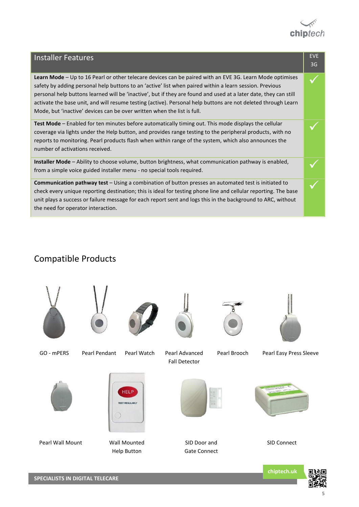

| <b>Installer Features</b>                                                                                                                                                                                                                                                                                                                                                                                                                                                                                                           | <b>EVE</b><br>3G |
|-------------------------------------------------------------------------------------------------------------------------------------------------------------------------------------------------------------------------------------------------------------------------------------------------------------------------------------------------------------------------------------------------------------------------------------------------------------------------------------------------------------------------------------|------------------|
| Learn Mode – Up to 16 Pearl or other telecare devices can be paired with an EVE 3G. Learn Mode optimises<br>safety by adding personal help buttons to an 'active' list when paired within a learn session. Previous<br>personal help buttons learned will be 'inactive', but if they are found and used at a later date, they can still<br>activate the base unit, and will resume testing (active). Personal help buttons are not deleted through Learn<br>Mode, but 'inactive' devices can be over written when the list is full. |                  |
| Test Mode – Enabled for ten minutes before automatically timing out. This mode displays the cellular<br>coverage via lights under the Help button, and provides range testing to the peripheral products, with no<br>reports to monitoring. Pearl products flash when within range of the system, which also announces the<br>number of activations received.                                                                                                                                                                       |                  |
| <b>Installer Mode</b> – Ability to choose volume, button brightness, what communication pathway is enabled,<br>from a simple voice guided installer menu - no special tools required.                                                                                                                                                                                                                                                                                                                                               |                  |
| Communication pathway test - Using a combination of button presses an automated test is initiated to<br>check every unique reporting destination; this is ideal for testing phone line and cellular reporting. The base<br>unit plays a success or failure message for each report sent and logs this in the background to ARC, without<br>the need for operator interaction.                                                                                                                                                       |                  |

# Compatible Products





GO - mPERS Pearl Pendant Pearl Watch Pearl Advanced







Fall Detector

Pearl Brooch Pearl Easy Press Sleeve





HELP **TEST REGULARLY** 







SID Door and Gate Connect



SID Connect

**chiptech.uk**



**SPECIALISTS IN DIGITAL TELECARE**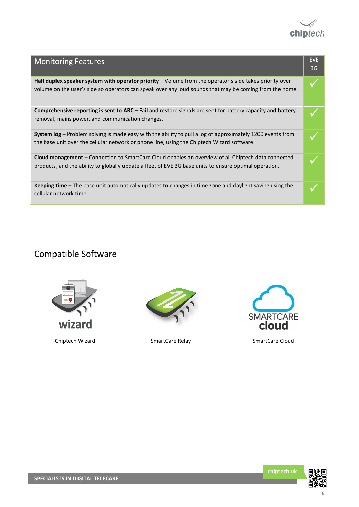

| <b>Monitoring Features</b>                                                                                                                                                                                                     | <b>EVE</b><br>3G |
|--------------------------------------------------------------------------------------------------------------------------------------------------------------------------------------------------------------------------------|------------------|
| <b>Half duplex speaker system with operator priority</b> $-\nu$ Volume from the operator's side takes priority over<br>volume on the user's side so operators can speak over any loud sounds that may be coming from the home. |                  |
| <b>Comprehensive reporting is sent to ARC</b> – Fail and restore signals are sent for battery capacity and battery<br>removal, mains power, and communication changes.                                                         |                  |
| <b>System log</b> – Problem solving is made easy with the ability to pull a log of approximately 1200 events from<br>the base unit over the cellular network or phone line, using the Chiptech Wizard software.                |                  |
| <b>Cloud management</b> – Connection to SmartCare Cloud enables an overview of all Chiptech data connected<br>products, and the ability to globally update a fleet of EVE 3G base units to ensure optimal operation.           |                  |
| <b>Keeping time</b> – The base unit automatically updates to changes in time zone and daylight saving using the<br>cellular network time.                                                                                      |                  |

# Compatible Software





Chiptech Wizard **SmartCare Relay** SmartCare Cloud





**chiptech.uk**

a a shekara